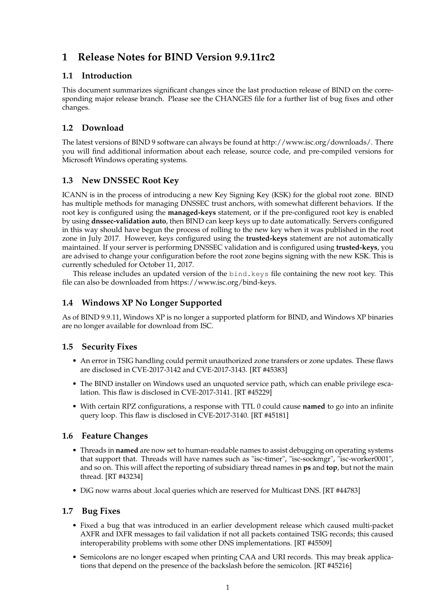# **1 Release Notes for BIND Version 9.9.11rc2**

#### **1.1 Introduction**

This document summarizes significant changes since the last production release of BIND on the corresponding major release branch. Please see the CHANGES file for a further list of bug fixes and other changes.

## **1.2 Download**

The latest versions of BIND 9 software can always be found at http://www.isc.org/downloads/. There you will find additional information about each release, source code, and pre-compiled versions for Microsoft Windows operating systems.

#### **1.3 New DNSSEC Root Key**

ICANN is in the process of introducing a new Key Signing Key (KSK) for the global root zone. BIND has multiple methods for managing DNSSEC trust anchors, with somewhat different behaviors. If the root key is configured using the **managed-keys** statement, or if the pre-configured root key is enabled by using **dnssec-validation auto**, then BIND can keep keys up to date automatically. Servers configured in this way should have begun the process of rolling to the new key when it was published in the root zone in July 2017. However, keys configured using the **trusted-keys** statement are not automatically maintained. If your server is performing DNSSEC validation and is configured using **trusted-keys**, you are advised to change your configuration before the root zone begins signing with the new KSK. This is currently scheduled for October 11, 2017.

This release includes an updated version of the bind.keys file containing the new root key. This file can also be downloaded from https://www.isc.org/bind-keys.

# **1.4 Windows XP No Longer Supported**

As of BIND 9.9.11, Windows XP is no longer a supported platform for BIND, and Windows XP binaries are no longer available for download from ISC.

#### **1.5 Security Fixes**

- An error in TSIG handling could permit unauthorized zone transfers or zone updates. These flaws are disclosed in CVE-2017-3142 and CVE-2017-3143. [RT #45383]
- The BIND installer on Windows used an unquoted service path, which can enable privilege escalation. This flaw is disclosed in CVE-2017-3141. [RT #45229]
- With certain RPZ configurations, a response with TTL 0 could cause **named** to go into an infinite query loop. This flaw is disclosed in CVE-2017-3140. [RT #45181]

#### **1.6 Feature Changes**

- Threads in **named** are now set to human-readable names to assist debugging on operating systems that support that. Threads will have names such as "isc-timer", "isc-sockmgr", "isc-worker0001", and so on. This will affect the reporting of subsidiary thread names in **ps** and **top**, but not the main thread. [RT #43234]
- DiG now warns about .local queries which are reserved for Multicast DNS. [RT #44783]

#### **1.7 Bug Fixes**

- Fixed a bug that was introduced in an earlier development release which caused multi-packet AXFR and IXFR messages to fail validation if not all packets contained TSIG records; this caused interoperability problems with some other DNS implementations. [RT #45509]
- Semicolons are no longer escaped when printing CAA and URI records. This may break applications that depend on the presence of the backslash before the semicolon. [RT #45216]